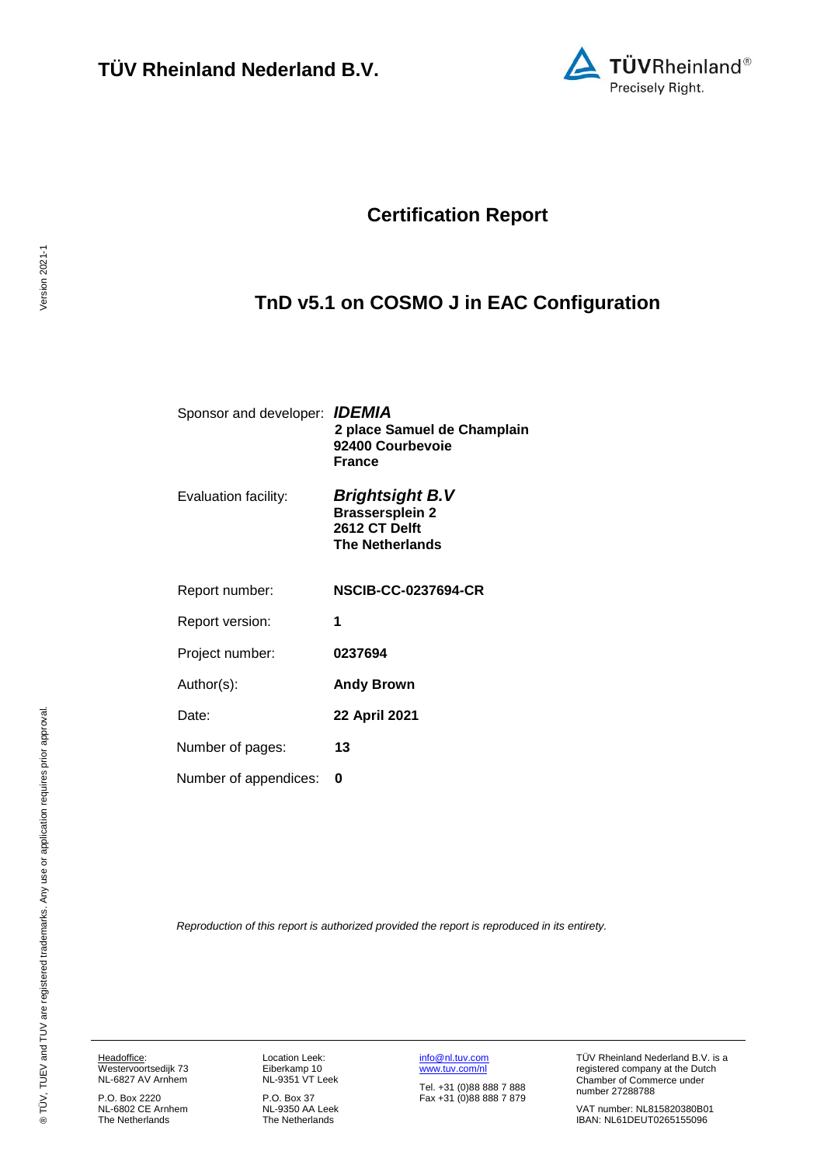

## **Certification Report**

# <span id="page-0-3"></span><span id="page-0-2"></span>**TnD v5.1 on COSMO J in EAC Configuration**

<span id="page-0-0"></span>

| Sponsor and developer: <b>IDEMIA</b> | 2 place Samuel de Champlain<br>92400 Courbevoie<br><b>France</b>                            |
|--------------------------------------|---------------------------------------------------------------------------------------------|
| Evaluation facility:                 | <b>Brightsight B.V</b><br><b>Brassersplein 2</b><br>2612 CT Delft<br><b>The Netherlands</b> |
| Report number:                       | <b>NSCIB-CC-0237694-CR</b>                                                                  |
| Report version:                      | 1                                                                                           |
| Project number:                      | 0237694                                                                                     |
| Author(s):                           | <b>Andy Brown</b>                                                                           |
| Date:                                | 22 April 2021                                                                               |
| Number of pages:                     | 13                                                                                          |
| Number of appendices:                | O                                                                                           |
|                                      |                                                                                             |

<span id="page-0-1"></span>*Reproduction of this report is authorized provided the report is reproduced in its entirety.*

Headoffice: Westervoortsedijk 73 NL-6827 AV Arnhem

P.O. Box 2220 NL-6802 CE Arnhem The Netherlands Location Leek: Eiberkamp 10 NL-9351 VT Leek

P.O. Box 37 NL-9350 AA Leek The Netherlands [info@nl.tuv.com](mailto:info@nl.tuv.com) [www.tuv.com/nl](http://www.tuv.com/nl)

Tel. +31 (0)88 888 7 888 Fax +31 (0)88 888 7 879 TÜV Rheinland Nederland B.V. is a registered company at the Dutch Chamber of Commerce under number 27288788

VAT number: NL815820380B01 IBAN: NL61DEUT0265155096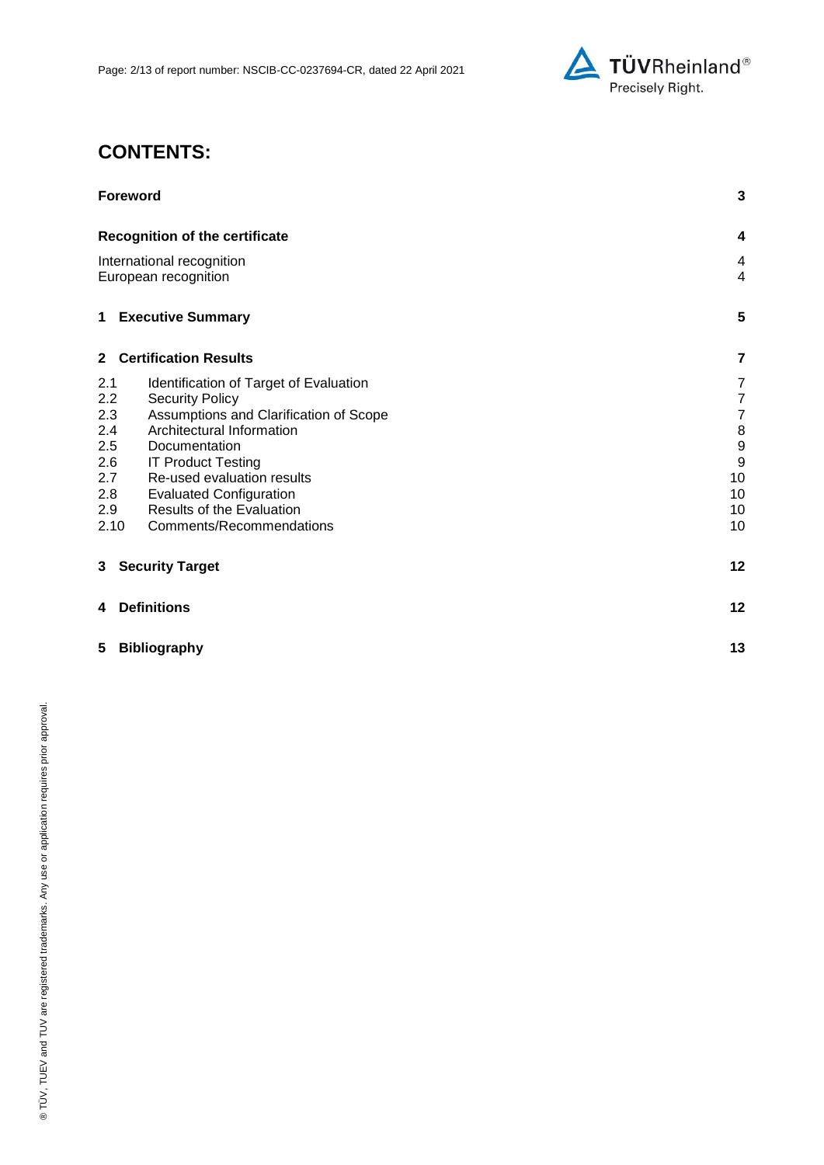

## **CONTENTS:**

| <b>Foreword</b>                                   |                     |
|---------------------------------------------------|---------------------|
| <b>Recognition of the certificate</b>             | 4                   |
| International recognition<br>European recognition | 4<br>$\overline{4}$ |
| <b>1 Executive Summary</b>                        | 5                   |
| 2 Certification Results                           | 7                   |
| 2.1<br>Identification of Target of Evaluation     | 7                   |
| 2.2<br><b>Security Policy</b>                     | $\boldsymbol{7}$    |
| 2.3<br>Assumptions and Clarification of Scope     | $\overline{7}$      |
| 2.4<br>Architectural Information                  | 8                   |
| 2.5<br>Documentation                              | $\boldsymbol{9}$    |
| 2.6<br><b>IT Product Testing</b>                  | 9                   |
| Re-used evaluation results<br>2.7                 | 10                  |
| 2.8<br><b>Evaluated Configuration</b>             | 10                  |
| Results of the Evaluation<br>2.9                  | 10                  |
| Comments/Recommendations<br>2.10                  | 10                  |
| 3 Security Target                                 | 12                  |
| <b>Definitions</b><br>4                           | 12                  |
| 5<br><b>Bibliography</b>                          |                     |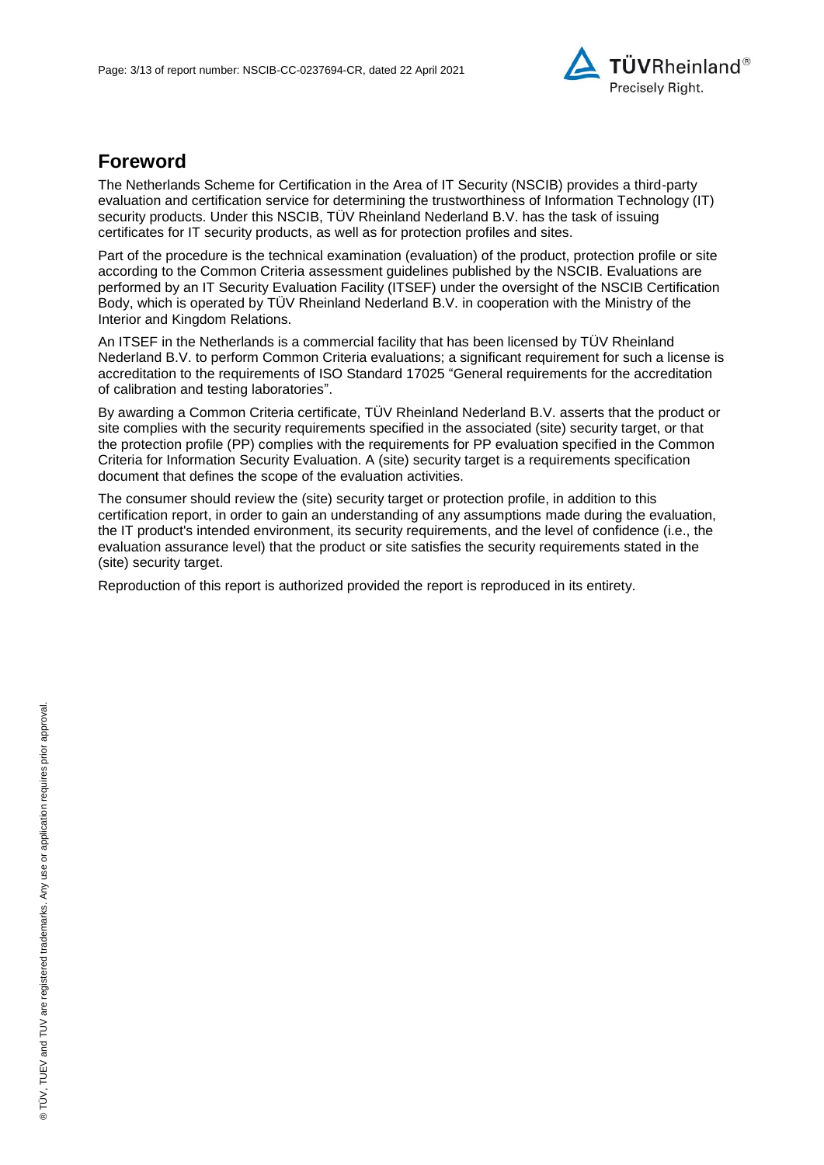

## **Foreword**

The Netherlands Scheme for Certification in the Area of IT Security (NSCIB) provides a third-party evaluation and certification service for determining the trustworthiness of Information Technology (IT) security products. Under this NSCIB, TUV Rheinland Nederland B.V. has the task of issuing certificates for IT security products, as well as for protection profiles and sites.

Part of the procedure is the technical examination (evaluation) of the product, protection profile or site according to the Common Criteria assessment guidelines published by the NSCIB. Evaluations are performed by an IT Security Evaluation Facility (ITSEF) under the oversight of the NSCIB Certification Body, which is operated by TÜV Rheinland Nederland B.V. in cooperation with the Ministry of the Interior and Kingdom Relations.

An ITSEF in the Netherlands is a commercial facility that has been licensed by TÜV Rheinland Nederland B.V. to perform Common Criteria evaluations; a significant requirement for such a license is accreditation to the requirements of ISO Standard 17025 "General requirements for the accreditation of calibration and testing laboratories".

By awarding a Common Criteria certificate, TÜV Rheinland Nederland B.V. asserts that the product or site complies with the security requirements specified in the associated (site) security target, or that the protection profile (PP) complies with the requirements for PP evaluation specified in the Common Criteria for Information Security Evaluation. A (site) security target is a requirements specification document that defines the scope of the evaluation activities.

The consumer should review the (site) security target or protection profile, in addition to this certification report, in order to gain an understanding of any assumptions made during the evaluation, the IT product's intended environment, its security requirements, and the level of confidence (i.e., the evaluation assurance level) that the product or site satisfies the security requirements stated in the (site) security target.

Reproduction of this report is authorized provided the report is reproduced in its entirety.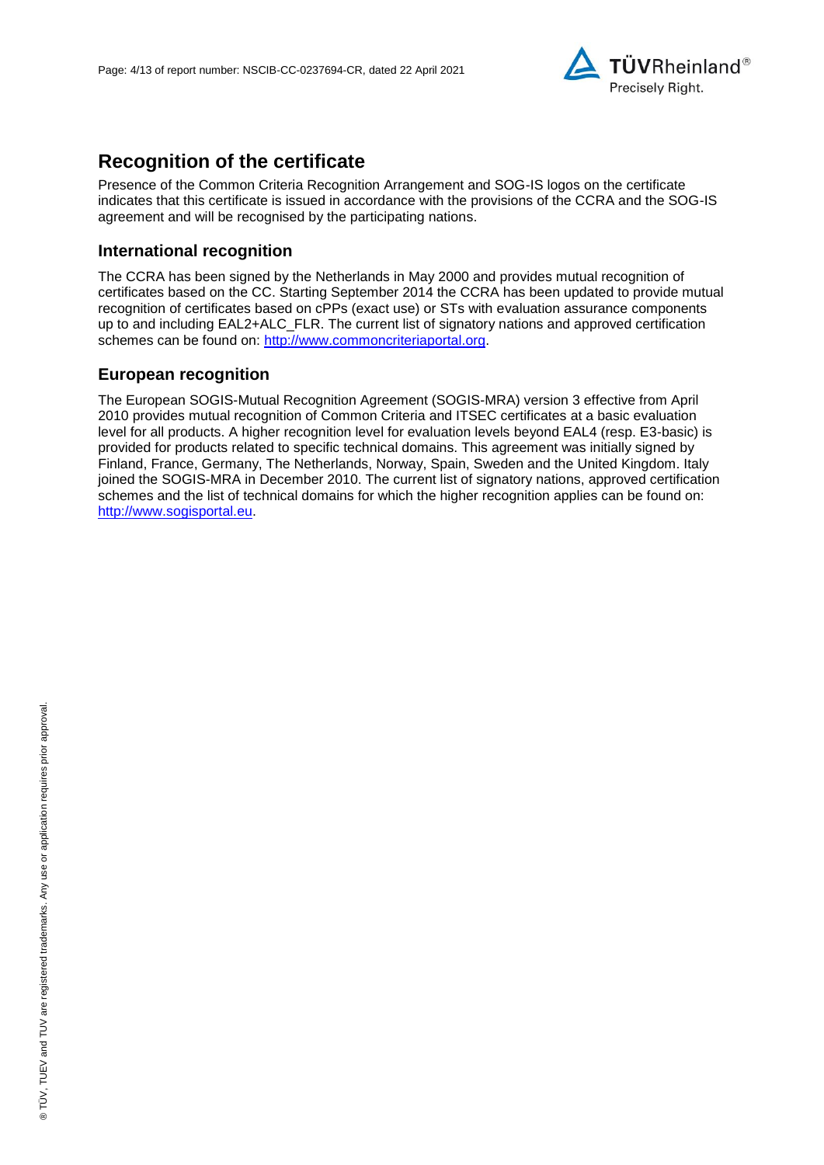

## **Recognition of the certificate**

Presence of the Common Criteria Recognition Arrangement and SOG-IS logos on the certificate indicates that this certificate is issued in accordance with the provisions of the CCRA and the SOG-IS agreement and will be recognised by the participating nations.

### **International recognition**

The CCRA has been signed by the Netherlands in May 2000 and provides mutual recognition of certificates based on the CC. Starting September 2014 the CCRA has been updated to provide mutual recognition of certificates based on cPPs (exact use) or STs with evaluation assurance components up to and including EAL2+ALC\_FLR. The current list of signatory nations and approved certification schemes can be found on: [http://www.commoncriteriaportal.org.](http://www.commoncriteriaportal.org/)

### **European recognition**

The European SOGIS-Mutual Recognition Agreement (SOGIS-MRA) version 3 effective from April 2010 provides mutual recognition of Common Criteria and ITSEC certificates at a basic evaluation level for all products. A higher recognition level for evaluation levels beyond EAL4 (resp. E3-basic) is provided for products related to specific technical domains. This agreement was initially signed by Finland, France, Germany, The Netherlands, Norway, Spain, Sweden and the United Kingdom. Italy joined the SOGIS-MRA in December 2010. The current list of signatory nations, approved certification schemes and the list of technical domains for which the higher recognition applies can be found on: [http://www.sogisportal.eu.](http://www.sogisportal.eu/)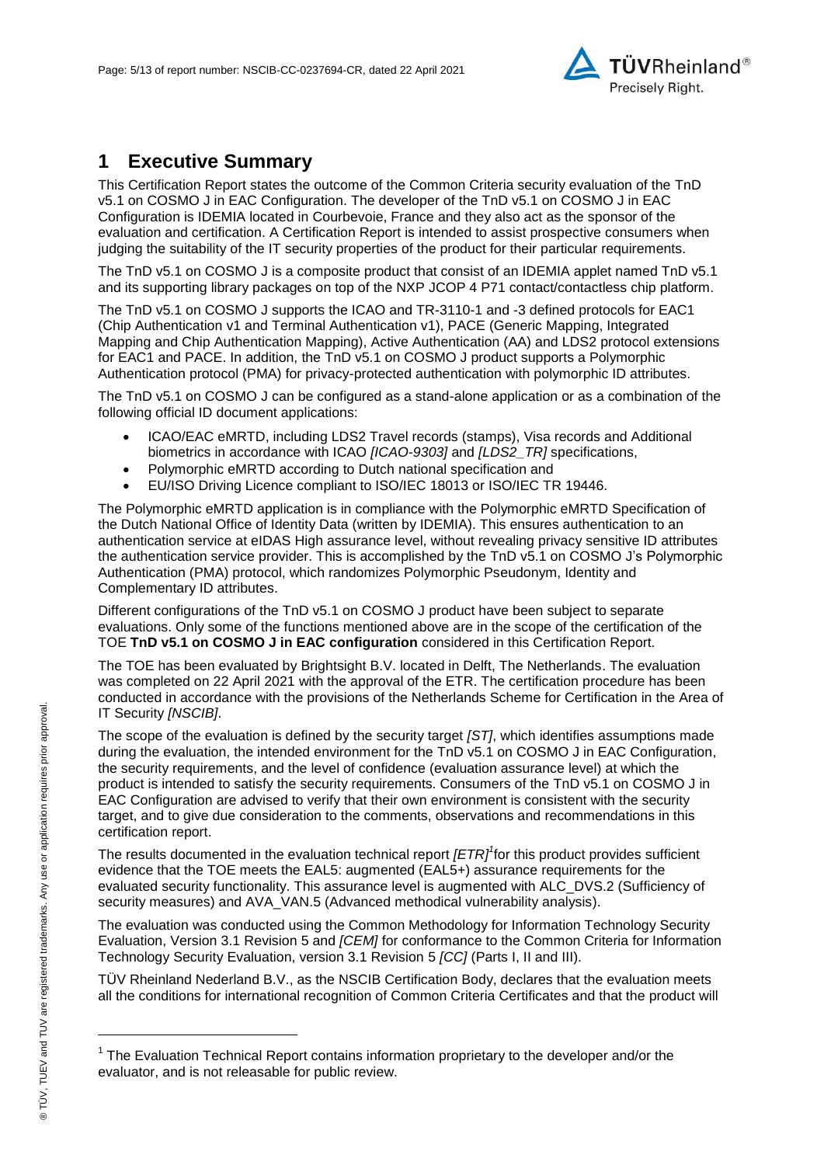

## **1 Executive Summary**

<span id="page-4-2"></span>This Certification Report states the outcome of the Common Criteria security evaluation of the [TnD](#page-0-2)  [v5.1 on COSMO J in EAC Configuration.](#page-0-2) The developer of the [TnD v5.1 on COSMO J in EAC](#page-0-2)  [Configuration](#page-0-2) is [IDEMIA](#page-0-3) located in Courbevoie, France and they also act as the sponsor of the evaluation and certification. A Certification Report is intended to assist prospective consumers when judging the suitability of the IT security properties of the product for their particular requirements.

The TnD v5.1 on COSMO J is a composite product that consist of an IDEMIA applet named TnD v5.1 and its supporting library packages on top of the NXP JCOP 4 P71 contact/contactless chip platform.

The TnD v5.1 on COSMO J supports the ICAO and TR-3110-1 and -3 defined protocols for EAC1 (Chip Authentication v1 and Terminal Authentication v1), PACE (Generic Mapping, Integrated Mapping and Chip Authentication Mapping), Active Authentication (AA) and LDS2 protocol extensions for EAC1 and PACE. In addition, the TnD v5.1 on COSMO J product supports a Polymorphic Authentication protocol (PMA) for privacy-protected authentication with polymorphic ID attributes.

The TnD v5.1 on COSMO J can be configured as a stand-alone application or as a combination of the following official ID document applications:

- ICAO/EAC eMRTD, including LDS2 Travel records (stamps), Visa records and Additional biometrics in accordance with ICAO *[ICAO-9303]* and *[LDS2\_TR]* specifications,
- Polymorphic eMRTD according to Dutch national specification and
- EU/ISO Driving Licence compliant to ISO/IEC 18013 or ISO/IEC TR 19446.

The Polymorphic eMRTD application is in compliance with the Polymorphic eMRTD Specification of the Dutch National Office of Identity Data (written by IDEMIA). This ensures authentication to an authentication service at eIDAS High assurance level, without revealing privacy sensitive ID attributes the authentication service provider. This is accomplished by the TnD v5.1 on COSMO J's Polymorphic Authentication (PMA) protocol, which randomizes Polymorphic Pseudonym, Identity and Complementary ID attributes.

Different configurations of the TnD v5.1 on COSMO J product have been subject to separate evaluations. Only some of the functions mentioned above are in the scope of the certification of the TOE **TnD v5.1 on COSMO J in EAC configuration** considered in this Certification Report.

The TOE has been evaluated by Brightsight B.V. located in Delft, The Netherlands. The evaluation was completed on 22 April 2021 with the approval of the ETR. The certification procedure has been conducted in accordance with the provisions of the Netherlands Scheme for Certification in the Area of IT Security *[NSCIB]*.

The scope of the evaluation is defined by the security target *[ST]*, which identifies assumptions made during the evaluation, the intended environment for the [TnD v5.1 on COSMO J in EAC Configuration,](#page-0-2) the security requirements, and the level of confidence (evaluation assurance level) at which the product is intended to satisfy the security requirements. Consumers of the [TnD v5.1 on COSMO J in](#page-0-2)  [EAC Configuration](#page-0-2) are advised to verify that their own environment is consistent with the security target, and to give due consideration to the comments, observations and recommendations in this certification report.

<span id="page-4-0"></span>The results documented in the evaluation technical report *[ETR]<sup>1</sup>* for this product provides sufficient evidence that the TOE meets the EAL5: augmented (EA[L5+](#page-4-0)) assurance requirements for the evaluated security functionality. This assurance level is augmented with ALC\_DVS.2 (Sufficiency of security measures) and AVA\_VAN.5 (Advanced methodical vulnerability analysis).

<span id="page-4-1"></span>The evaluation was conducted using the Common Methodology for Information Technology Security Evaluation, Version 3.1 Revision 5 and *[CEM]* for conformance to the Common Criteria for Information Technology Security Evaluation, version 3.1 Revision [5](#page-4-1) *[CC]* (Parts I, II and III).

TÜV Rheinland Nederland B.V., as the NSCIB Certification Body, declares that the evaluation meets all the conditions for international recognition of Common Criteria Certificates and that the product will

l

<sup>&</sup>lt;sup>1</sup> The Evaluation Technical Report contains information proprietary to the developer and/or the evaluator, and is not releasable for public review.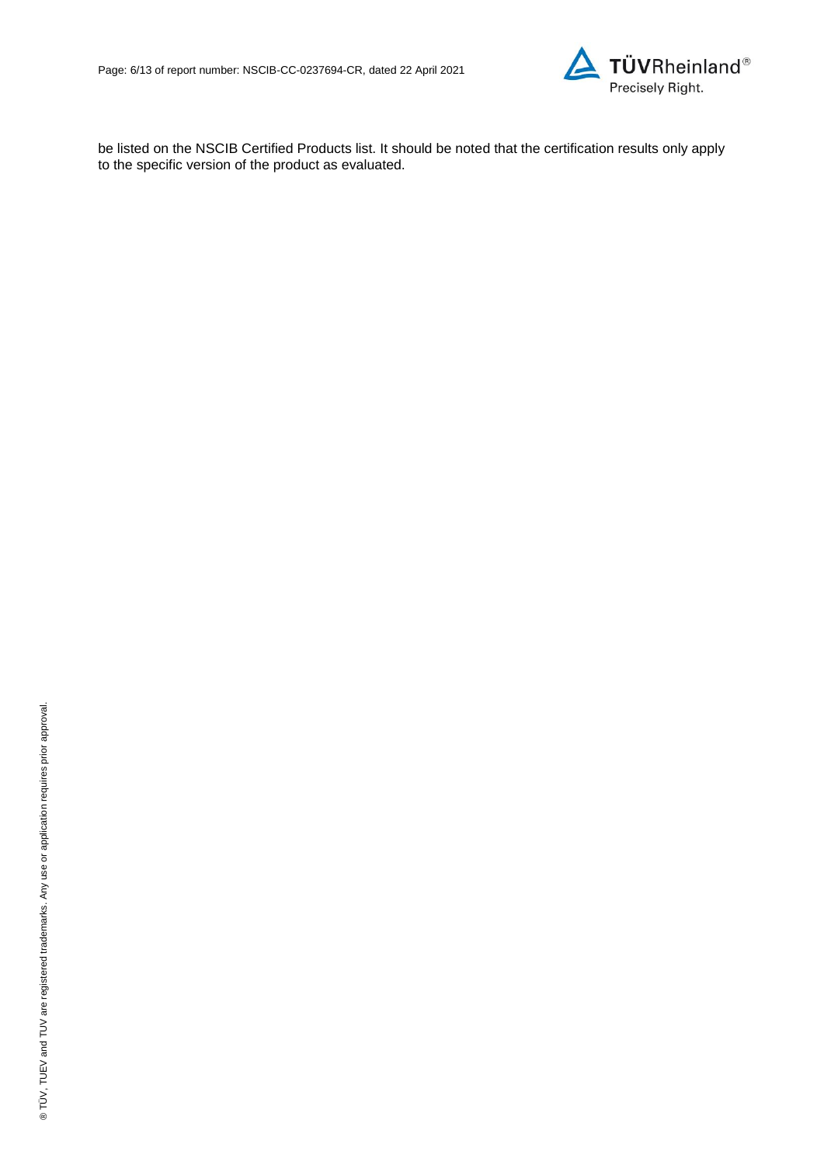

be listed on the NSCIB Certified Products list. It should be noted that the certification results only apply to the specific version of the product as evaluated.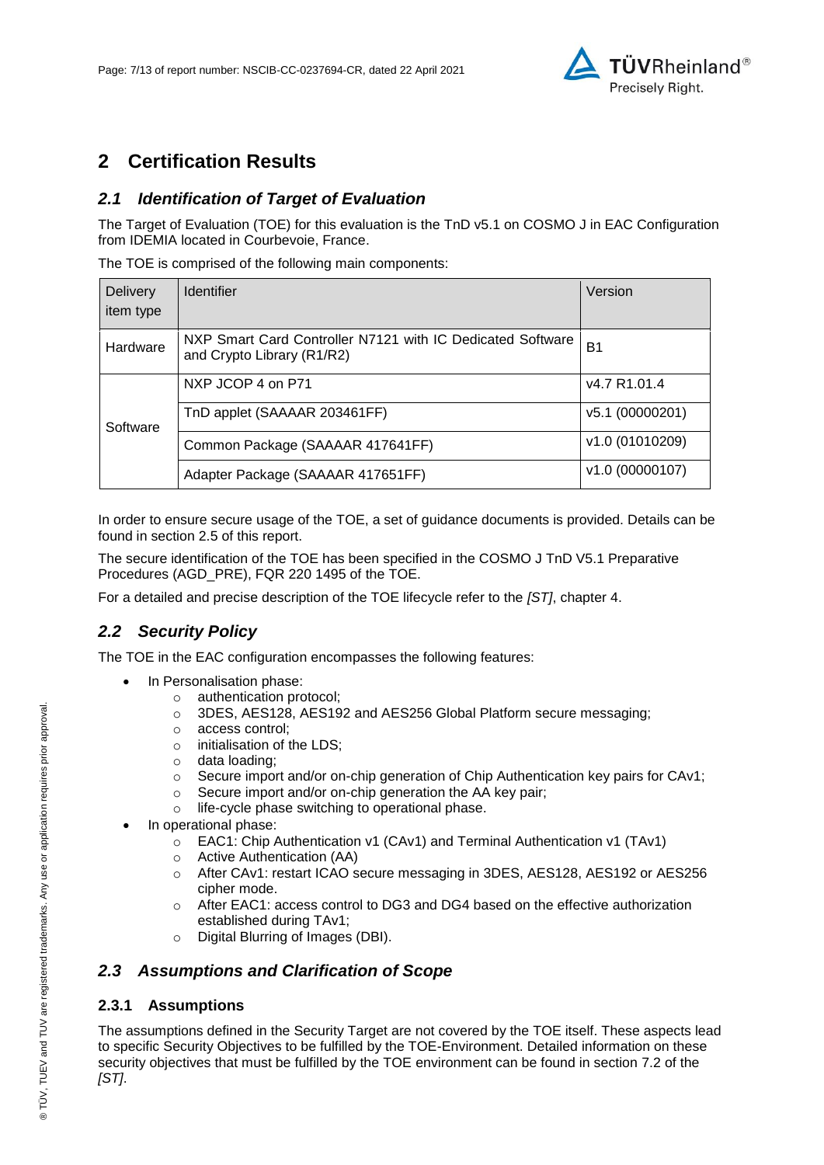

## **2 Certification Results**

### *2.1 Identification of Target of Evaluation*

The Target of Evaluation (TOE) for this evaluation is the [TnD v5.1 on COSMO J in EAC Configuration](#page-0-2) from [IDEMIA](#page-0-3) located in [Courbevoie, France.](#page-4-2)

The TOE is comprised of the following main components:

| <b>Delivery</b><br>item type | <b>Identifier</b>                                                                        | Version         |
|------------------------------|------------------------------------------------------------------------------------------|-----------------|
| Hardware                     | NXP Smart Card Controller N7121 with IC Dedicated Software<br>and Crypto Library (R1/R2) | B <sub>1</sub>  |
| Software                     | NXP JCOP 4 on P71                                                                        | v4.7 R1.01.4    |
|                              | TnD applet (SAAAAR 203461FF)                                                             | v5.1 (00000201) |
|                              | Common Package (SAAAAR 417641FF)                                                         | v1.0 (01010209) |
|                              | Adapter Package (SAAAAR 417651FF)                                                        | v1.0 (00000107) |

In order to ensure secure usage of the TOE, a set of guidance documents is provided. Details can be found in section 2.5 of this report.

The secure identification of the TOE has been specified in the COSMO J TnD V5.1 Preparative Procedures (AGD\_PRE), FQR 220 1495 of the TOE.

For a detailed and precise description of the TOE lifecycle refer to the *[ST]*, chapter 4.

### *2.2 Security Policy*

The TOE in the EAC configuration encompasses the following features:

- In Personalisation phase:
	- o authentication protocol;
	- o 3DES, AES128, AES192 and AES256 Global Platform secure messaging;
	- o access control;
	- o initialisation of the LDS;
	- o data loading;
	- $\circ$  Secure import and/or on-chip generation of Chip Authentication key pairs for CAv1;
	- o Secure import and/or on-chip generation the AA key pair;
	- o life-cycle phase switching to operational phase.
- In operational phase:
	- o EAC1: Chip Authentication v1 (CAv1) and Terminal Authentication v1 (TAv1)
	- o Active Authentication (AA)
	- o After CAv1: restart ICAO secure messaging in 3DES, AES128, AES192 or AES256 cipher mode.
	- o After EAC1: access control to DG3 and DG4 based on the effective authorization established during TAv1;
	- o Digital Blurring of Images (DBI).

### *2.3 Assumptions and Clarification of Scope*

#### **2.3.1 Assumptions**

The assumptions defined in the Security Target are not covered by the TOE itself. These aspects lead to specific Security Objectives to be fulfilled by the TOE-Environment. Detailed information on these security objectives that must be fulfilled by the TOE environment can be found in section 7.2 of the *[ST]*.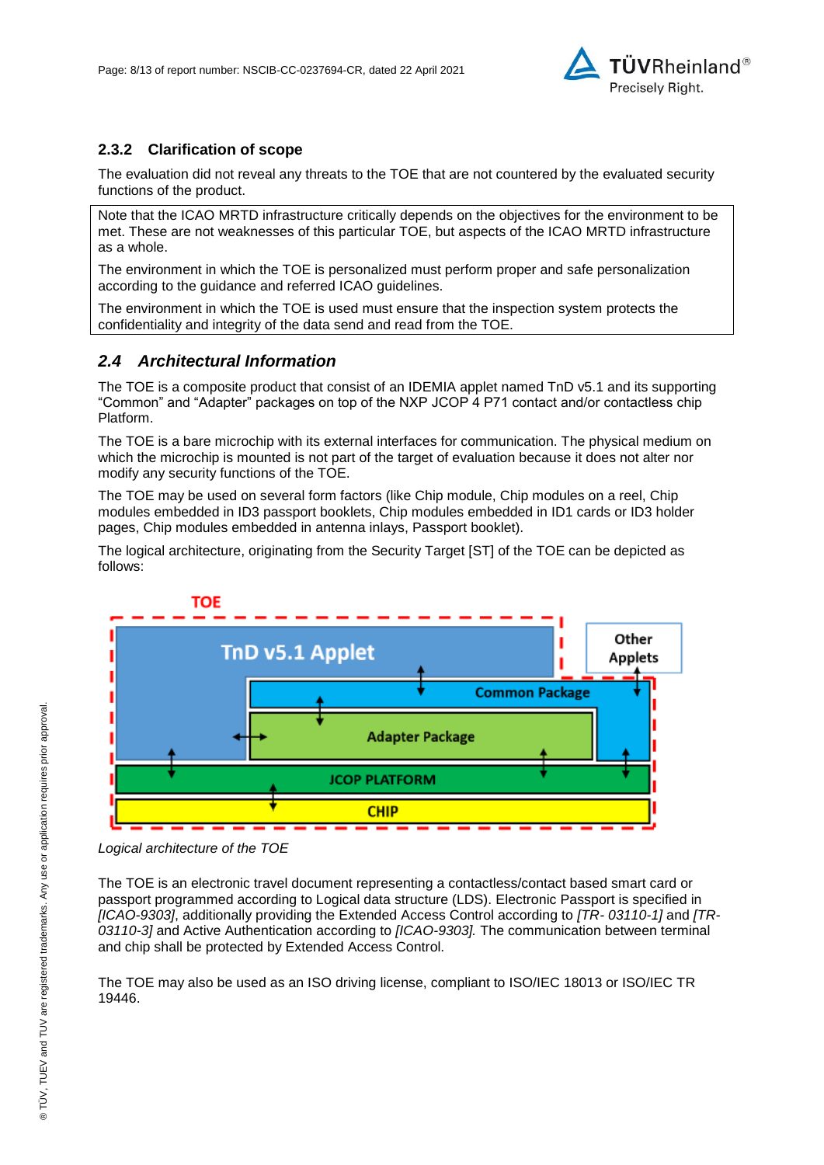

### **2.3.2 Clarification of scope**

The evaluation did not reveal any threats to the TOE that are not countered by the evaluated security functions of the product.

Note that the ICAO MRTD infrastructure critically depends on the objectives for the environment to be met. These are not weaknesses of this particular TOE, but aspects of the ICAO MRTD infrastructure as a whole.

The environment in which the TOE is personalized must perform proper and safe personalization according to the guidance and referred ICAO guidelines.

The environment in which the TOE is used must ensure that the inspection system protects the confidentiality and integrity of the data send and read from the TOE.

### *2.4 Architectural Information*

The TOE is a composite product that consist of an IDEMIA applet named TnD v5.1 and its supporting "Common" and "Adapter" packages on top of the NXP JCOP 4 P71 contact and/or contactless chip Platform.

The TOE is a bare microchip with its external interfaces for communication. The physical medium on which the microchip is mounted is not part of the target of evaluation because it does not alter nor modify any security functions of the TOE.

The TOE may be used on several form factors (like Chip module, Chip modules on a reel, Chip modules embedded in ID3 passport booklets, Chip modules embedded in ID1 cards or ID3 holder pages, Chip modules embedded in antenna inlays, Passport booklet).

The logical architecture, originating from the Security Target [ST] of the TOE can be depicted as follows:



*Logical architecture of the TOE* 

The TOE is an electronic travel document representing a contactless/contact based smart card or passport programmed according to Logical data structure (LDS). Electronic Passport is specified in *[ICAO-9303]*, additionally providing the Extended Access Control according to *[TR- 03110-1]* and *[TR-03110-3]* and Active Authentication according to *[ICAO-9303].* The communication between terminal and chip shall be protected by Extended Access Control.

The TOE may also be used as an ISO driving license, compliant to ISO/IEC 18013 or ISO/IEC TR 19446.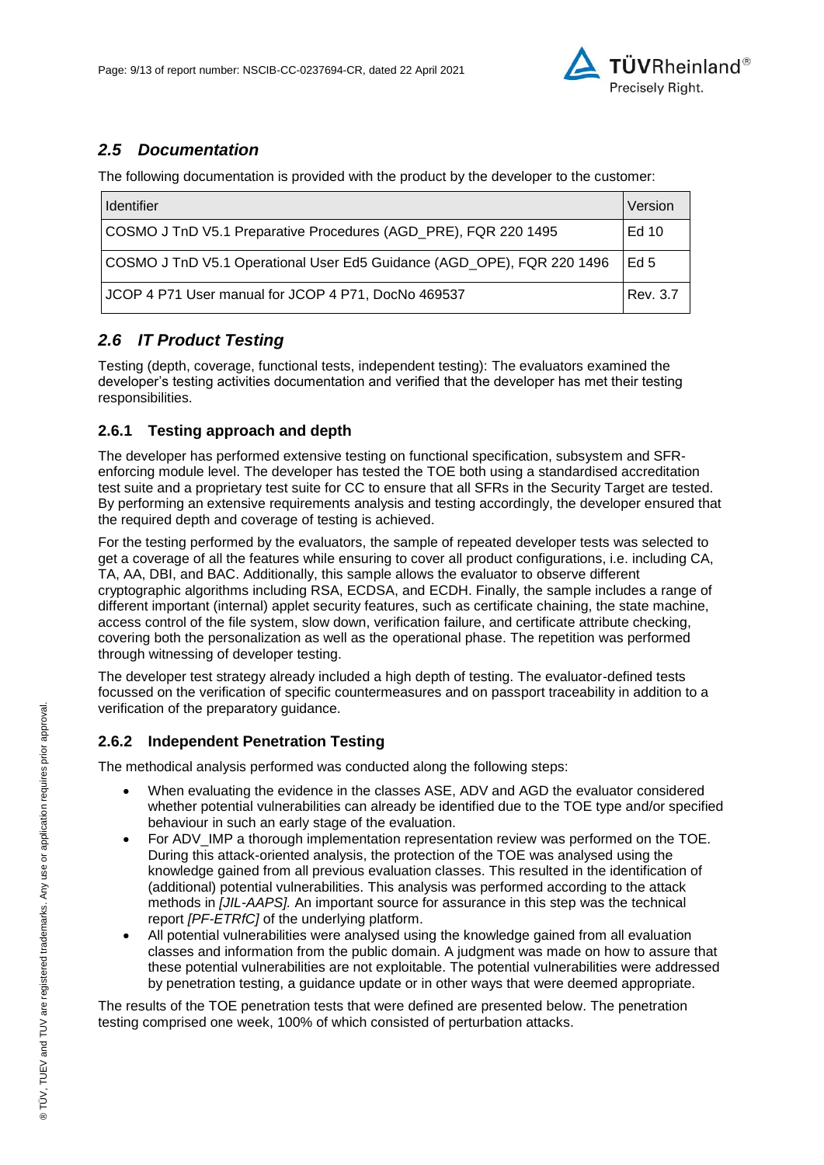

### *2.5 Documentation*

The following documentation is provided with the product by the developer to the customer:

| <b>Identifier</b>                                                      | Version  |
|------------------------------------------------------------------------|----------|
| COSMO J TnD V5.1 Preparative Procedures (AGD_PRE), FQR 220 1495        | Ed 10    |
| COSMO J TnD V5.1 Operational User Ed5 Guidance (AGD_OPE), FQR 220 1496 |          |
| JCOP 4 P71 User manual for JCOP 4 P71, DocNo 469537                    | Rev. 3.7 |

### *2.6 IT Product Testing*

Testing (depth, coverage, functional tests, independent testing): The evaluators examined the developer's testing activities documentation and verified that the developer has met their testing responsibilities.

#### **2.6.1 Testing approach and depth**

The developer has performed extensive testing on functional specification, subsystem and SFRenforcing module level. The developer has tested the TOE both using a standardised accreditation test suite and a proprietary test suite for CC to ensure that all SFRs in the Security Target are tested. By performing an extensive requirements analysis and testing accordingly, the developer ensured that the required depth and coverage of testing is achieved.

For the testing performed by the evaluators, the sample of repeated developer tests was selected to get a coverage of all the features while ensuring to cover all product configurations, i.e. including CA, TA, AA, DBI, and BAC. Additionally, this sample allows the evaluator to observe different cryptographic algorithms including RSA, ECDSA, and ECDH. Finally, the sample includes a range of different important (internal) applet security features, such as certificate chaining, the state machine, access control of the file system, slow down, verification failure, and certificate attribute checking, covering both the personalization as well as the operational phase. The repetition was performed through witnessing of developer testing.

The developer test strategy already included a high depth of testing. The evaluator-defined tests focussed on the verification of specific countermeasures and on passport traceability in addition to a verification of the preparatory guidance.

#### **2.6.2 Independent Penetration Testing**

The methodical analysis performed was conducted along the following steps:

- When evaluating the evidence in the classes ASE, ADV and AGD the evaluator considered whether potential vulnerabilities can already be identified due to the TOE type and/or specified behaviour in such an early stage of the evaluation.
- For ADV IMP a thorough implementation representation review was performed on the TOE. During this attack-oriented analysis, the protection of the TOE was analysed using the knowledge gained from all previous evaluation classes. This resulted in the identification of (additional) potential vulnerabilities. This analysis was performed according to the attack methods in *[JIL-AAPS].* An important source for assurance in this step was the technical report *[PF-ETRfC]* of the underlying platform.
- All potential vulnerabilities were analysed using the knowledge gained from all evaluation classes and information from the public domain. A judgment was made on how to assure that these potential vulnerabilities are not exploitable. The potential vulnerabilities were addressed by penetration testing, a guidance update or in other ways that were deemed appropriate.

The results of the TOE penetration tests that were defined are presented below. The penetration testing comprised one week, 100% of which consisted of perturbation attacks.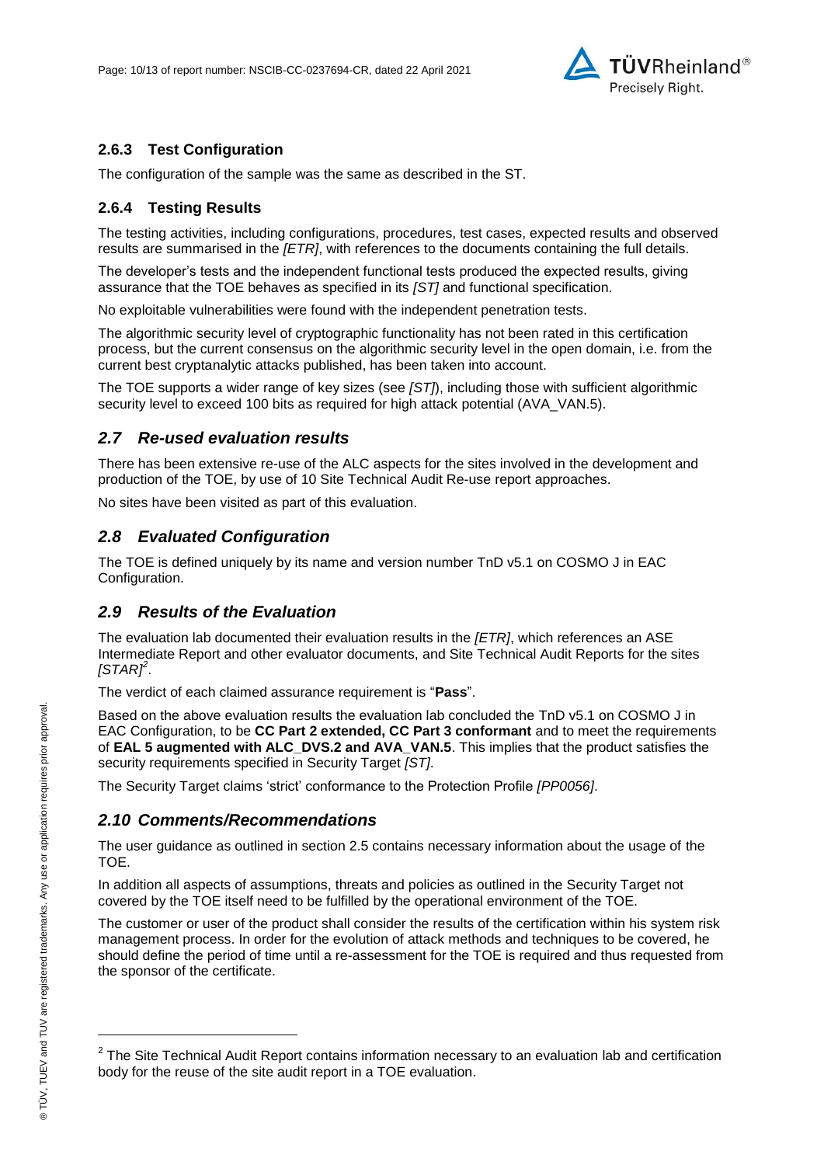

### **2.6.3 Test Configuration**

The configuration of the sample was the same as described in the ST.

#### **2.6.4 Testing Results**

The testing activities, including configurations, procedures, test cases, expected results and observed results are summarised in the *[ETR]*, with references to the documents containing the full details.

The developer's tests and the independent functional tests produced the expected results, giving assurance that the TOE behaves as specified in its *[ST]* and functional specification.

No exploitable vulnerabilities were found with the independent penetration tests.

The algorithmic security level of cryptographic functionality has not been rated in this certification process, but the current consensus on the algorithmic security level in the open domain, i.e. from the current best cryptanalytic attacks published, has been taken into account.

The TOE supports a wider range of key sizes (see *[ST]*), including those with sufficient algorithmic security level to exceed 100 bits as required for high attack potential (AVA\_VAN.5).

### *2.7 Re-used evaluation results*

There has been extensive re-use of the ALC aspects for the sites involved in the development and production of the TOE, by use of 10 Site Technical Audit Re-use report approaches.

No sites have been visited as part of this evaluation.

### *2.8 Evaluated Configuration*

The TOE is defined uniquely by its name and version number [TnD v5.1 on COSMO J in EAC](#page-0-2)  [Configuration.](#page-0-2)

### *2.9 Results of the Evaluation*

The evaluation lab documented their evaluation results in the *[ETR]*, which references an ASE Intermediate Report and other evaluator documents, and Site Technical Audit Reports for the sites *[STAR]<sup>2</sup>* .

The verdict of each claimed assurance requirement is "**Pass**".

Based on the above evaluation results the evaluation lab concluded the [TnD v5.1 on COSMO J in](#page-0-2)  [EAC Configuration,](#page-0-2) to be **CC Part 2 extended, CC Part 3 conformant** and to meet the requirements of **EAL [5](#page-4-0) augmented with ALC\_DVS.2 and AVA\_VAN.5**. This implies that the product satisfies the security requirements specified in Security Target *[ST]*.

The Security Target claims 'strict' conformance to the Protection Profile *[PP0056]*.

#### *2.10 Comments/Recommendations*

The user guidance as outlined in section 2.5 contains necessary information about the usage of the TOE.

In addition all aspects of assumptions, threats and policies as outlined in the Security Target not covered by the TOE itself need to be fulfilled by the operational environment of the TOE.

The customer or user of the product shall consider the results of the certification within his system risk management process. In order for the evolution of attack methods and techniques to be covered, he should define the period of time until a re-assessment for the TOE is required and thus requested from the sponsor of the certificate.

l

 $2$  The Site Technical Audit Report contains information necessary to an evaluation lab and certification body for the reuse of the site audit report in a TOE evaluation.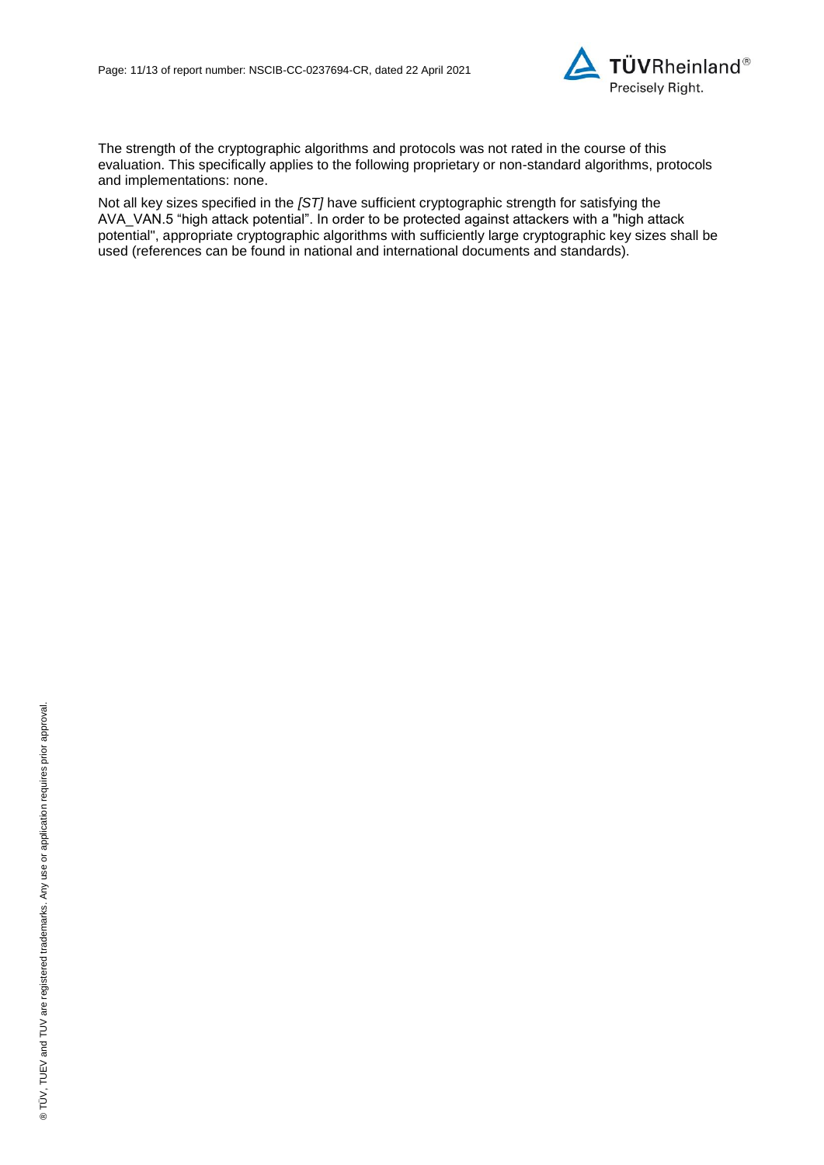

The strength of the cryptographic algorithms and protocols was not rated in the course of this evaluation. This specifically applies to the following proprietary or non-standard algorithms, protocols and implementations: none.

Not all key sizes specified in the *[ST]* have sufficient cryptographic strength for satisfying the AVA\_VAN.5 "high attack potential". In order to be protected against attackers with a "high attack potential", appropriate cryptographic algorithms with sufficiently large cryptographic key sizes shall be used (references can be found in national and international documents and standards).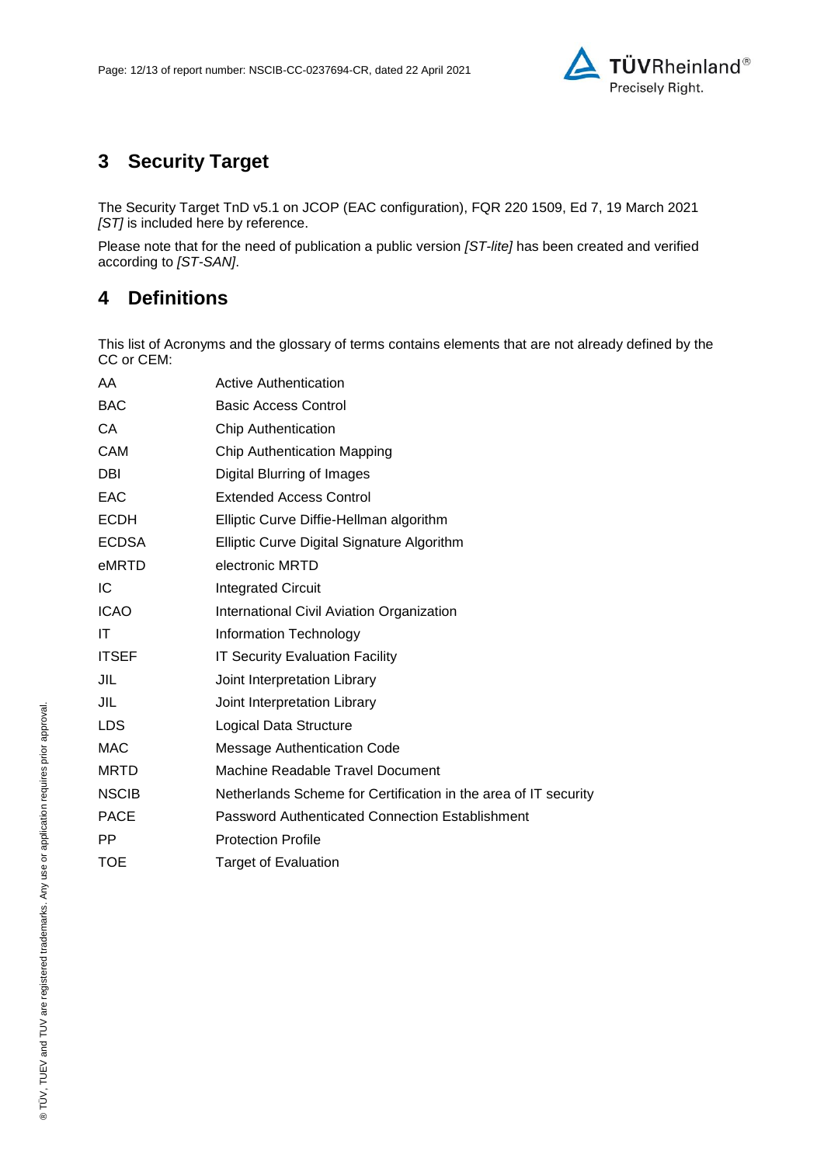

## **3 Security Target**

The Security Target TnD v5.1 on JCOP [\(EAC configuration\), FQR 220 1509, Ed 7, 19 March 2021](#page-12-0) *[ST]* is included here by reference.

Please note that for the need of publication a public version *[ST-lite]* has been created and verified according to *[ST-SAN]*.

## **4 Definitions**

This list of Acronyms and the glossary of terms contains elements that are not already defined by the CC or CEM:

| AA           | <b>Active Authentication</b>                                    |
|--------------|-----------------------------------------------------------------|
| <b>BAC</b>   | <b>Basic Access Control</b>                                     |
| CА           | <b>Chip Authentication</b>                                      |
| CAM          | <b>Chip Authentication Mapping</b>                              |
| DBI          | Digital Blurring of Images                                      |
| EAC          | <b>Extended Access Control</b>                                  |
| <b>ECDH</b>  | Elliptic Curve Diffie-Hellman algorithm                         |
| <b>ECDSA</b> | Elliptic Curve Digital Signature Algorithm                      |
| eMRTD        | electronic MRTD                                                 |
| ΙC           | <b>Integrated Circuit</b>                                       |
| <b>ICAO</b>  | International Civil Aviation Organization                       |
| IΤ           | Information Technology                                          |
| <b>ITSEF</b> | <b>IT Security Evaluation Facility</b>                          |
| JIL          | Joint Interpretation Library                                    |
| JIL          | Joint Interpretation Library                                    |
| LDS          | Logical Data Structure                                          |
| MAC          | <b>Message Authentication Code</b>                              |
| MRTD         | Machine Readable Travel Document                                |
| <b>NSCIB</b> | Netherlands Scheme for Certification in the area of IT security |
| <b>PACE</b>  | <b>Password Authenticated Connection Establishment</b>          |
| PP           | <b>Protection Profile</b>                                       |
| TOE          | <b>Target of Evaluation</b>                                     |